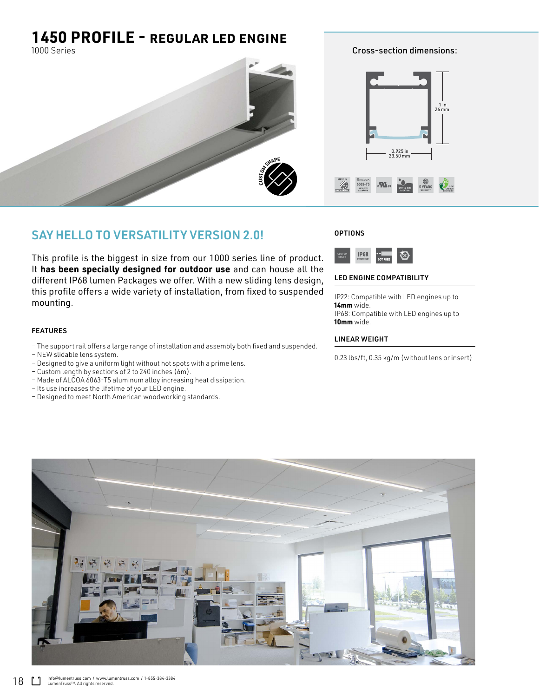# **1450 PROFILE -** REGULAR LED ENGINE

1000 Series



## SAY HELLO TO VERSATILITY VERSION 2.0!

This profile is the biggest in size from our 1000 series line of product. It **has been specially designed for outdoor use** and can house all the different IP68 lumen Packages we offer. With a new sliding lens design, this profile offers a wide variety of installation, from fixed to suspended mounting.

### FEATURES

- The support rail offers a large range of installation and assembly both fixed and suspended.
- NEW slidable lens system.
- Designed to give a uniform light without hot spots with a prime lens.
- Custom length by sections of 2 to 240 inches (6m).
- Made of ALCOA 6063-T5 aluminum alloy increasing heat dissipation.
- Its use increases the lifetime of your LED engine.
- Designed to meet North American woodworking standards.





#### LED ENGINE COMPATIBILITY

IP22: Compatible with LED engines up to **14mm** wide. IP68: Compatible with LED engines up to **10mm** wide.

Cross-section dimensions:

#### LINEAR WEIGHT

0.23 lbs/ft, 0.35 kg/m (without lens or insert)